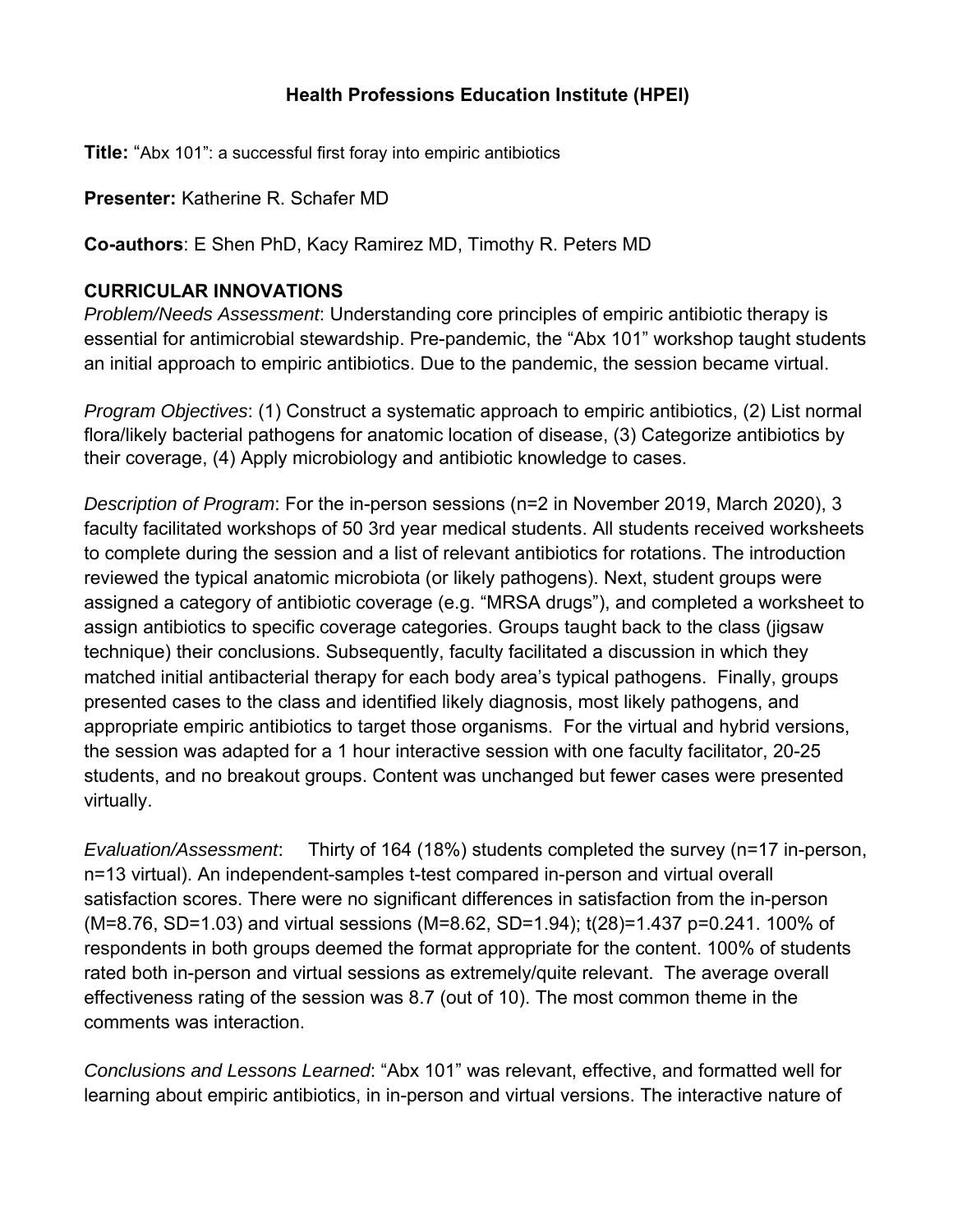## **Health Professions Education Institute (HPEI)**

**Title:** "Abx 101": a successful first foray into empiric antibiotics

**Presenter:** Katherine R. Schafer MD

**Co-authors**: E Shen PhD, Kacy Ramirez MD, Timothy R. Peters MD

## **CURRICULAR INNOVATIONS**

*Problem/Needs Assessment*: Understanding core principles of empiric antibiotic therapy is essential for antimicrobial stewardship. Pre-pandemic, the "Abx 101" workshop taught students an initial approach to empiric antibiotics. Due to the pandemic, the session became virtual.

*Program Objectives*: (1) Construct a systematic approach to empiric antibiotics, (2) List normal flora/likely bacterial pathogens for anatomic location of disease, (3) Categorize antibiotics by their coverage, (4) Apply microbiology and antibiotic knowledge to cases.

*Description of Program*: For the in-person sessions (n=2 in November 2019, March 2020), 3 faculty facilitated workshops of 50 3rd year medical students. All students received worksheets to complete during the session and a list of relevant antibiotics for rotations. The introduction reviewed the typical anatomic microbiota (or likely pathogens). Next, student groups were assigned a category of antibiotic coverage (e.g. "MRSA drugs"), and completed a worksheet to assign antibiotics to specific coverage categories. Groups taught back to the class (jigsaw technique) their conclusions. Subsequently, faculty facilitated a discussion in which they matched initial antibacterial therapy for each body area's typical pathogens. Finally, groups presented cases to the class and identified likely diagnosis, most likely pathogens, and appropriate empiric antibiotics to target those organisms. For the virtual and hybrid versions, the session was adapted for a 1 hour interactive session with one faculty facilitator, 20-25 students, and no breakout groups. Content was unchanged but fewer cases were presented virtually.

*Evaluation/Assessment*: Thirty of 164 (18%) students completed the survey (n=17 in-person, n=13 virtual). An independent-samples t-test compared in-person and virtual overall satisfaction scores. There were no significant differences in satisfaction from the in-person (M=8.76, SD=1.03) and virtual sessions (M=8.62, SD=1.94); t(28)=1.437 p=0.241. 100% of respondents in both groups deemed the format appropriate for the content. 100% of students rated both in-person and virtual sessions as extremely/quite relevant. The average overall effectiveness rating of the session was 8.7 (out of 10). The most common theme in the comments was interaction.

*Conclusions and Lessons Learned*: "Abx 101" was relevant, effective, and formatted well for learning about empiric antibiotics, in in-person and virtual versions. The interactive nature of